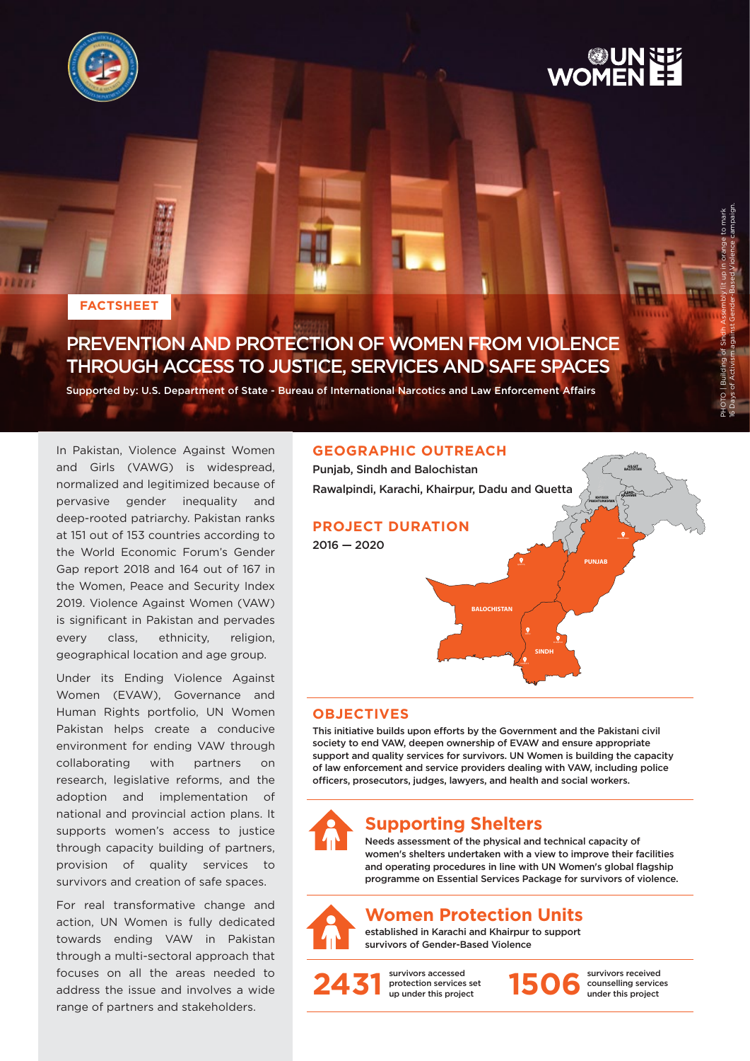



PHOTO | Building of Sindh Assembly lit up in orange to mark 16 Days of Activism against Gender-Based Violence campaign.

#### **FACTSHEET**

## PREVENTION AND PROTECTION OF WOMEN FROM VIOLENCE THROUGH ACCESS TO JUSTICE, SERVICES AND SAFE SPACES

Supported by: U.S. Department of State - Bureau of International Narcotics and Law Enforcement Affairs

In Pakistan, Violence Against Women and Girls (VAWG) is widespread, normalized and legitimized because of pervasive gender inequality and deep-rooted patriarchy. Pakistan ranks at 151 out of 153 countries according to the World Economic Forum's Gender Gap report 2018 and 164 out of 167 in the Women, Peace and Security Index 2019. Violence Against Women (VAW) is significant in Pakistan and pervades every class, ethnicity, religion, geographical location and age group.

Under its Ending Violence Against Women (EVAW), Governance and Human Rights portfolio, UN Women Pakistan helps create a conducive environment for ending VAW through collaborating with partners on research, legislative reforms, and the adoption and implementation of national and provincial action plans. It supports women's access to justice through capacity building of partners, provision of quality services to survivors and creation of safe spaces.

For real transformative change and action, UN Women is fully dedicated towards ending VAW in Pakistan through a multi-sectoral approach that focuses on all the areas needed to address the issue and involves a wide range of partners and stakeholders.

#### **GEOGRAPHIC OUTREACH**



#### **OBJECTIVES**

This initiative builds upon efforts by the Government and the Pakistani civil society to end VAW, deepen ownership of EVAW and ensure appropriate support and quality services for survivors. UN Women is building the capacity of law enforcement and service providers dealing with VAW, including police officers, prosecutors, judges, lawyers, and health and social workers.



### **Supporting Shelters**

Needs assessment of the physical and technical capacity of women's shelters undertaken with a view to improve their facilities and operating procedures in line with UN Women's global flagship programme on Essential Services Package for survivors of violence.

### **Women Protection Units**

established in Karachi and Khairpur to support survivors of Gender-Based Violence



survivors accessed protection services set 2431 **protection services set** 1506



survivors received counselling services under this project